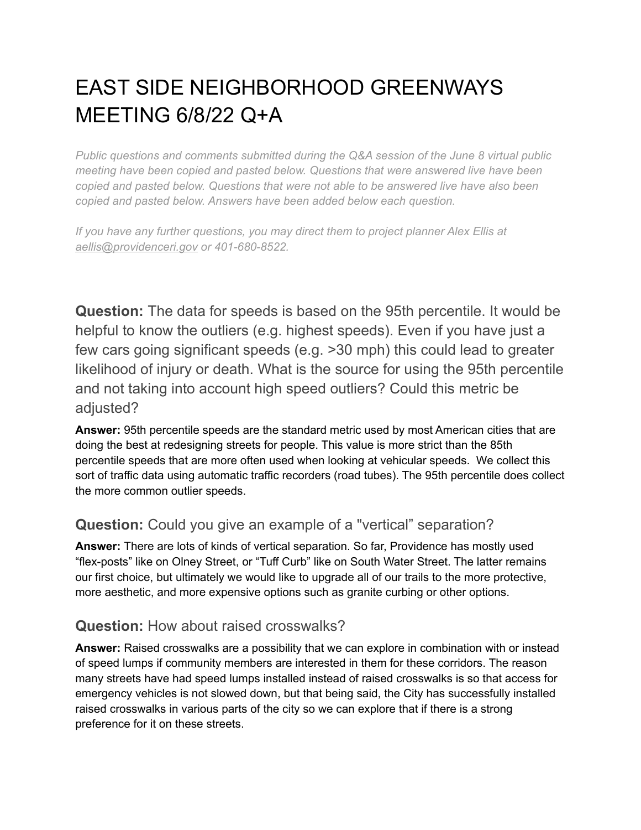# EAST SIDE NEIGHBORHOOD GREENWAYS MEETING 6/8/22 Q+A

*Public questions and comments submitted during the Q&A session of the June 8 virtual public meeting have been copied and pasted below. Questions that were answered live have been copied and pasted below. Questions that were not able to be answered live have also been copied and pasted below. Answers have been added below each question.*

*If you have any further questions, you may direct them to project planner Alex Ellis at [aellis@providenceri.gov](mailto:aellis@providenceri.gov) or 401-680-8522.*

**Question:** The data for speeds is based on the 95th percentile. It would be helpful to know the outliers (e.g. highest speeds). Even if you have just a few cars going significant speeds (e.g. >30 mph) this could lead to greater likelihood of injury or death. What is the source for using the 95th percentile and not taking into account high speed outliers? Could this metric be adjusted?

**Answer:** 95th percentile speeds are the standard metric used by most American cities that are doing the best at redesigning streets for people. This value is more strict than the 85th percentile speeds that are more often used when looking at vehicular speeds. We collect this sort of traffic data using automatic traffic recorders (road tubes). The 95th percentile does collect the more common outlier speeds.

# **Question:** Could you give an example of a "vertical" separation?

**Answer:** There are lots of kinds of vertical separation. So far, Providence has mostly used "flex-posts" like on Olney Street, or "Tuff Curb" like on South Water Street. The latter remains our first choice, but ultimately we would like to upgrade all of our trails to the more protective, more aesthetic, and more expensive options such as granite curbing or other options.

# **Question:** How about raised crosswalks?

**Answer:** Raised crosswalks are a possibility that we can explore in combination with or instead of speed lumps if community members are interested in them for these corridors. The reason many streets have had speed lumps installed instead of raised crosswalks is so that access for emergency vehicles is not slowed down, but that being said, the City has successfully installed raised crosswalks in various parts of the city so we can explore that if there is a strong preference for it on these streets.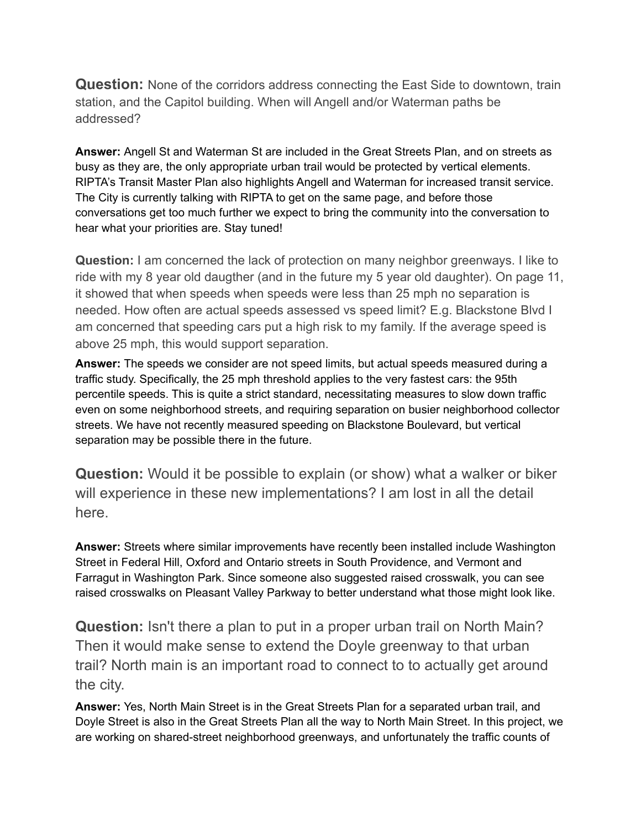**Question:** None of the corridors address connecting the East Side to downtown, train station, and the Capitol building. When will Angell and/or Waterman paths be addressed?

**Answer:** Angell St and Waterman St are included in the Great Streets Plan, and on streets as busy as they are, the only appropriate urban trail would be protected by vertical elements. RIPTA's Transit Master Plan also highlights Angell and Waterman for increased transit service. The City is currently talking with RIPTA to get on the same page, and before those conversations get too much further we expect to bring the community into the conversation to hear what your priorities are. Stay tuned!

**Question:** I am concerned the lack of protection on many neighbor greenways. I like to ride with my 8 year old daugther (and in the future my 5 year old daughter). On page 11, it showed that when speeds when speeds were less than 25 mph no separation is needed. How often are actual speeds assessed vs speed limit? E.g. Blackstone Blvd I am concerned that speeding cars put a high risk to my family. If the average speed is above 25 mph, this would support separation.

**Answer:** The speeds we consider are not speed limits, but actual speeds measured during a traffic study. Specifically, the 25 mph threshold applies to the very fastest cars: the 95th percentile speeds. This is quite a strict standard, necessitating measures to slow down traffic even on some neighborhood streets, and requiring separation on busier neighborhood collector streets. We have not recently measured speeding on Blackstone Boulevard, but vertical separation may be possible there in the future.

**Question:** Would it be possible to explain (or show) what a walker or biker will experience in these new implementations? I am lost in all the detail here.

**Answer:** Streets where similar improvements have recently been installed include Washington Street in Federal Hill, Oxford and Ontario streets in South Providence, and Vermont and Farragut in Washington Park. Since someone also suggested raised crosswalk, you can see raised crosswalks on Pleasant Valley Parkway to better understand what those might look like.

**Question:** Isn't there a plan to put in a proper urban trail on North Main? Then it would make sense to extend the Doyle greenway to that urban trail? North main is an important road to connect to to actually get around the city.

**Answer:** Yes, North Main Street is in the Great Streets Plan for a separated urban trail, and Doyle Street is also in the Great Streets Plan all the way to North Main Street. In this project, we are working on shared-street neighborhood greenways, and unfortunately the traffic counts of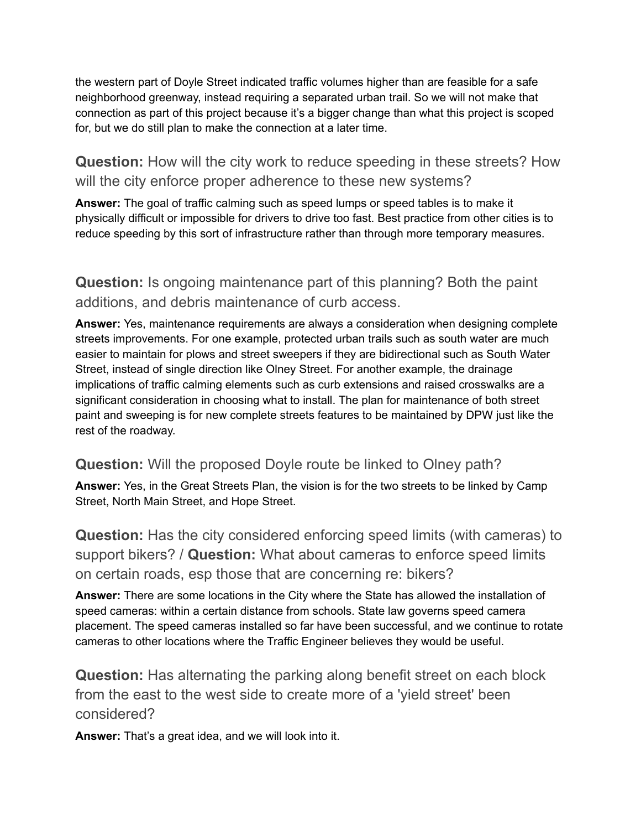the western part of Doyle Street indicated traffic volumes higher than are feasible for a safe neighborhood greenway, instead requiring a separated urban trail. So we will not make that connection as part of this project because it's a bigger change than what this project is scoped for, but we do still plan to make the connection at a later time.

**Question:** How will the city work to reduce speeding in these streets? How will the city enforce proper adherence to these new systems?

**Answer:** The goal of traffic calming such as speed lumps or speed tables is to make it physically difficult or impossible for drivers to drive too fast. Best practice from other cities is to reduce speeding by this sort of infrastructure rather than through more temporary measures.

**Question:** Is ongoing maintenance part of this planning? Both the paint additions, and debris maintenance of curb access.

**Answer:** Yes, maintenance requirements are always a consideration when designing complete streets improvements. For one example, protected urban trails such as south water are much easier to maintain for plows and street sweepers if they are bidirectional such as South Water Street, instead of single direction like Olney Street. For another example, the drainage implications of traffic calming elements such as curb extensions and raised crosswalks are a significant consideration in choosing what to install. The plan for maintenance of both street paint and sweeping is for new complete streets features to be maintained by DPW just like the rest of the roadway.

#### **Question:** Will the proposed Doyle route be linked to Olney path?

**Answer:** Yes, in the Great Streets Plan, the vision is for the two streets to be linked by Camp Street, North Main Street, and Hope Street.

**Question:** Has the city considered enforcing speed limits (with cameras) to support bikers? / **Question:** What about cameras to enforce speed limits on certain roads, esp those that are concerning re: bikers?

**Answer:** There are some locations in the City where the State has allowed the installation of speed cameras: within a certain distance from schools. State law governs speed camera placement. The speed cameras installed so far have been successful, and we continue to rotate cameras to other locations where the Traffic Engineer believes they would be useful.

**Question:** Has alternating the parking along benefit street on each block from the east to the west side to create more of a 'yield street' been considered?

**Answer:** That's a great idea, and we will look into it.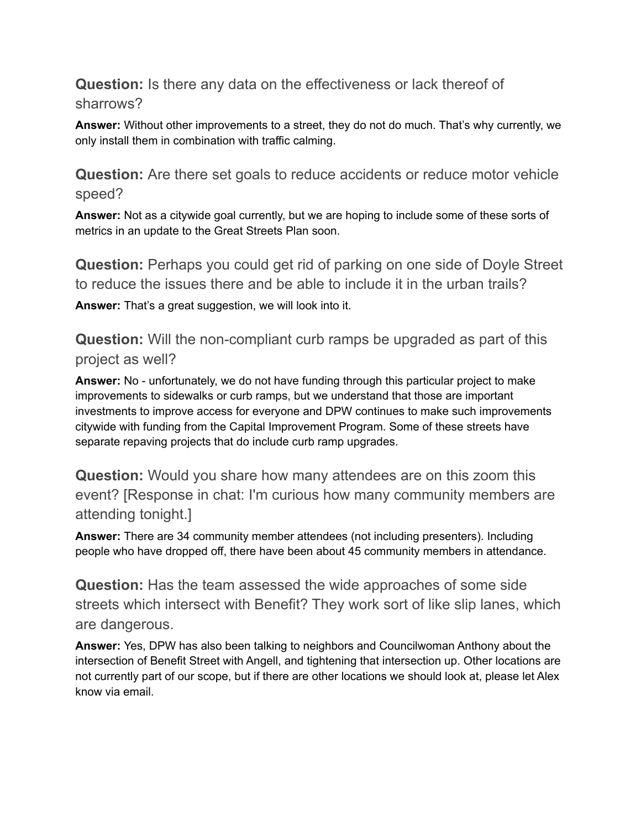**Question:** Is there any data on the effectiveness or lack thereof of sharrows?

**Answer:** Without other improvements to a street, they do not do much. That's why currently, we only install them in combination with traffic calming.

**Question:** Are there set goals to reduce accidents or reduce motor vehicle speed?

**Answer:** Not as a citywide goal currently, but we are hoping to include some of these sorts of metrics in an update to the Great Streets Plan soon.

**Question:** Perhaps you could get rid of parking on one side of Doyle Street to reduce the issues there and be able to include it in the urban trails? **Answer:** That's a great suggestion, we will look into it.

**Question:** Will the non-compliant curb ramps be upgraded as part of this project as well?

**Answer:** No - unfortunately, we do not have funding through this particular project to make improvements to sidewalks or curb ramps, but we understand that those are important investments to improve access for everyone and DPW continues to make such improvements citywide with funding from the Capital Improvement Program. Some of these streets have separate repaving projects that do include curb ramp upgrades.

**Question:** Would you share how many attendees are on this zoom this event? [Response in chat: I'm curious how many community members are attending tonight.]

**Answer:** There are 34 community member attendees (not including presenters). Including people who have dropped off, there have been about 45 community members in attendance.

**Question:** Has the team assessed the wide approaches of some side streets which intersect with Benefit? They work sort of like slip lanes, which are dangerous.

**Answer:** Yes, DPW has also been talking to neighbors and Councilwoman Anthony about the intersection of Benefit Street with Angell, and tightening that intersection up. Other locations are not currently part of our scope, but if there are other locations we should look at, please let Alex know via email.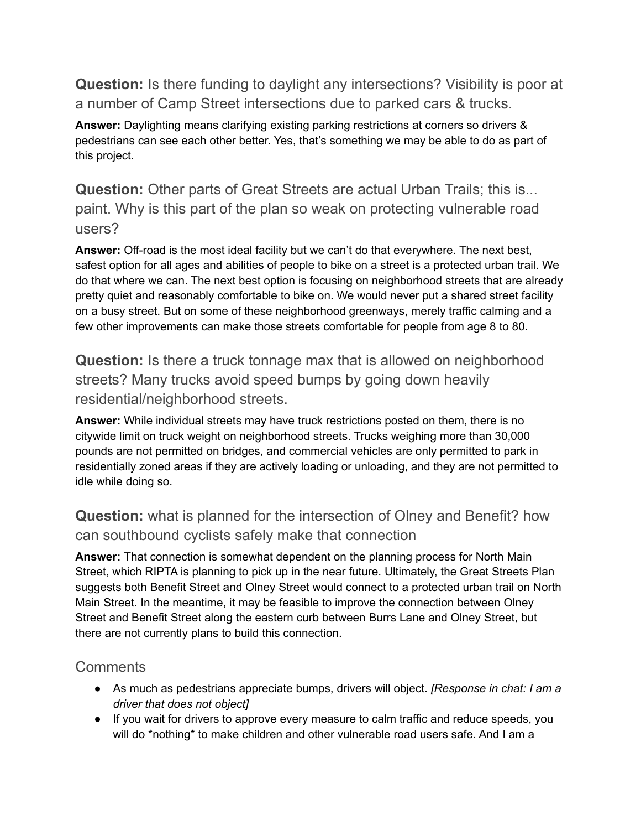**Question:** Is there funding to daylight any intersections? Visibility is poor at a number of Camp Street intersections due to parked cars & trucks.

**Answer:** Daylighting means clarifying existing parking restrictions at corners so drivers & pedestrians can see each other better. Yes, that's something we may be able to do as part of this project.

**Question:** Other parts of Great Streets are actual Urban Trails; this is... paint. Why is this part of the plan so weak on protecting vulnerable road users?

**Answer:** Off-road is the most ideal facility but we can't do that everywhere. The next best, safest option for all ages and abilities of people to bike on a street is a protected urban trail. We do that where we can. The next best option is focusing on neighborhood streets that are already pretty quiet and reasonably comfortable to bike on. We would never put a shared street facility on a busy street. But on some of these neighborhood greenways, merely traffic calming and a few other improvements can make those streets comfortable for people from age 8 to 80.

**Question:** Is there a truck tonnage max that is allowed on neighborhood streets? Many trucks avoid speed bumps by going down heavily residential/neighborhood streets.

**Answer:** While individual streets may have truck restrictions posted on them, there is no citywide limit on truck weight on neighborhood streets. Trucks weighing more than 30,000 pounds are not permitted on bridges, and commercial vehicles are only permitted to park in residentially zoned areas if they are actively loading or unloading, and they are not permitted to idle while doing so.

# **Question:** what is planned for the intersection of Olney and Benefit? how can southbound cyclists safely make that connection

**Answer:** That connection is somewhat dependent on the planning process for North Main Street, which RIPTA is planning to pick up in the near future. Ultimately, the Great Streets Plan suggests both Benefit Street and Olney Street would connect to a protected urban trail on North Main Street. In the meantime, it may be feasible to improve the connection between Olney Street and Benefit Street along the eastern curb between Burrs Lane and Olney Street, but there are not currently plans to build this connection.

# **Comments**

- As much as pedestrians appreciate bumps, drivers will object. *[Response in chat: I am a driver that does not object]*
- If you wait for drivers to approve every measure to calm traffic and reduce speeds, you will do \*nothing\* to make children and other vulnerable road users safe. And I am a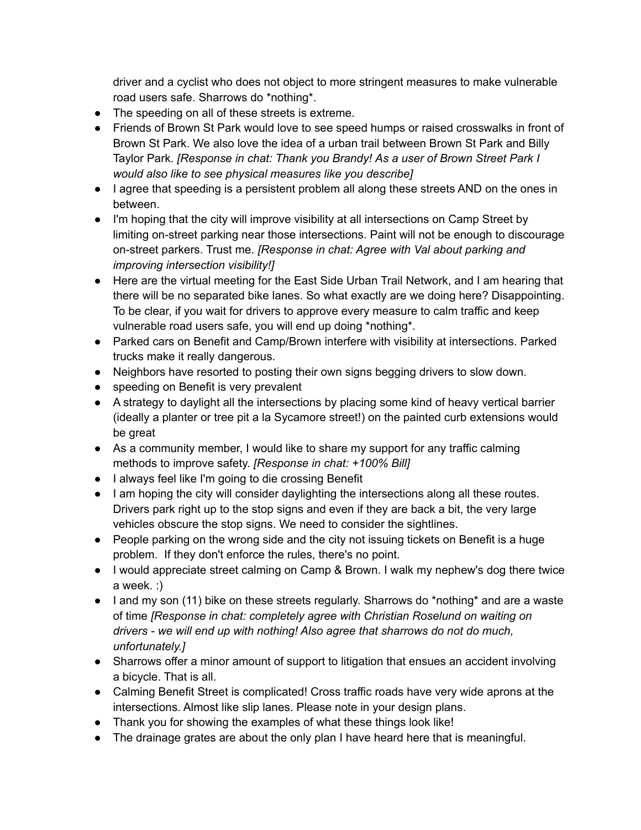driver and a cyclist who does not object to more stringent measures to make vulnerable road users safe. Sharrows do \*nothing\*.

- The speeding on all of these streets is extreme.
- Friends of Brown St Park would love to see speed humps or raised crosswalks in front of Brown St Park. We also love the idea of a urban trail between Brown St Park and Billy Taylor Park. *[Response in chat: Thank you Brandy! As a user of Brown Street Park I would also like to see physical measures like you describe]*
- I agree that speeding is a persistent problem all along these streets AND on the ones in between.
- I'm hoping that the city will improve visibility at all intersections on Camp Street by limiting on-street parking near those intersections. Paint will not be enough to discourage on-street parkers. Trust me. *[Response in chat: Agree with Val about parking and improving intersection visibility!]*
- Here are the virtual meeting for the East Side Urban Trail Network, and I am hearing that there will be no separated bike lanes. So what exactly are we doing here? Disappointing. To be clear, if you wait for drivers to approve every measure to calm traffic and keep vulnerable road users safe, you will end up doing \*nothing\*.
- Parked cars on Benefit and Camp/Brown interfere with visibility at intersections. Parked trucks make it really dangerous.
- Neighbors have resorted to posting their own signs begging drivers to slow down.
- speeding on Benefit is very prevalent
- A strategy to daylight all the intersections by placing some kind of heavy vertical barrier (ideally a planter or tree pit a la Sycamore street!) on the painted curb extensions would be great
- As a community member, I would like to share my support for any traffic calming methods to improve safety. *[Response in chat: +100% Bill]*
- I always feel like I'm going to die crossing Benefit
- I am hoping the city will consider daylighting the intersections along all these routes. Drivers park right up to the stop signs and even if they are back a bit, the very large vehicles obscure the stop signs. We need to consider the sightlines.
- People parking on the wrong side and the city not issuing tickets on Benefit is a huge problem. If they don't enforce the rules, there's no point.
- I would appreciate street calming on Camp & Brown. I walk my nephew's dog there twice a week. :)
- I and my son (11) bike on these streets regularly. Sharrows do \*nothing\* and are a waste of time *[Response in chat: completely agree with Christian Roselund on waiting on drivers - we will end up with nothing! Also agree that sharrows do not do much, unfortunately.]*
- Sharrows offer a minor amount of support to litigation that ensues an accident involving a bicycle. That is all.
- Calming Benefit Street is complicated! Cross traffic roads have very wide aprons at the intersections. Almost like slip lanes. Please note in your design plans.
- Thank you for showing the examples of what these things look like!
- The drainage grates are about the only plan I have heard here that is meaningful.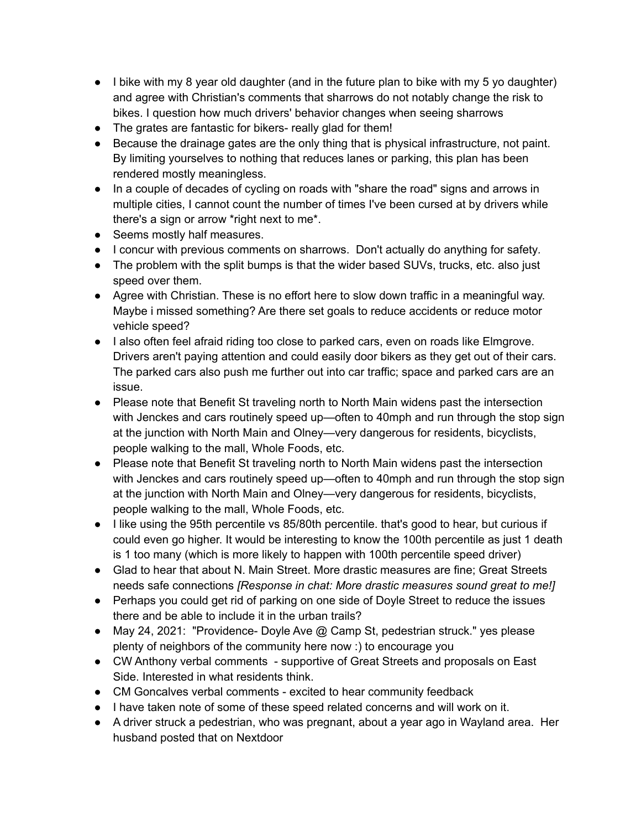- I bike with my 8 year old daughter (and in the future plan to bike with my 5 yo daughter) and agree with Christian's comments that sharrows do not notably change the risk to bikes. I question how much drivers' behavior changes when seeing sharrows
- The grates are fantastic for bikers- really glad for them!
- Because the drainage gates are the only thing that is physical infrastructure, not paint. By limiting yourselves to nothing that reduces lanes or parking, this plan has been rendered mostly meaningless.
- In a couple of decades of cycling on roads with "share the road" signs and arrows in multiple cities, I cannot count the number of times I've been cursed at by drivers while there's a sign or arrow \*right next to me\*.
- Seems mostly half measures.
- *●* I concur with previous comments on sharrows. Don't actually do anything for safety*.*
- The problem with the split bumps is that the wider based SUVs, trucks, etc. also just speed over them.
- Agree with Christian. These is no effort here to slow down traffic in a meaningful way. Maybe i missed something? Are there set goals to reduce accidents or reduce motor vehicle speed?
- I also often feel afraid riding too close to parked cars, even on roads like Elmgrove. Drivers aren't paying attention and could easily door bikers as they get out of their cars. The parked cars also push me further out into car traffic; space and parked cars are an issue.
- Please note that Benefit St traveling north to North Main widens past the intersection with Jenckes and cars routinely speed up—often to 40mph and run through the stop sign at the junction with North Main and Olney—very dangerous for residents, bicyclists, people walking to the mall, Whole Foods, etc.
- Please note that Benefit St traveling north to North Main widens past the intersection with Jenckes and cars routinely speed up—often to 40mph and run through the stop sign at the junction with North Main and Olney—very dangerous for residents, bicyclists, people walking to the mall, Whole Foods, etc.
- I like using the 95th percentile vs 85/80th percentile. that's good to hear, but curious if could even go higher. It would be interesting to know the 100th percentile as just 1 death is 1 too many (which is more likely to happen with 100th percentile speed driver)
- Glad to hear that about N. Main Street. More drastic measures are fine; Great Streets needs safe connections *[Response in chat: More drastic measures sound great to me!]*
- Perhaps you could get rid of parking on one side of Doyle Street to reduce the issues there and be able to include it in the urban trails?
- May 24, 2021: "Providence- Doyle Ave @ Camp St, pedestrian struck." yes please plenty of neighbors of the community here now :) to encourage you
- CW Anthony verbal comments supportive of Great Streets and proposals on East Side. Interested in what residents think.
- CM Goncalves verbal comments excited to hear community feedback
- I have taken note of some of these speed related concerns and will work on it.
- A driver struck a pedestrian, who was pregnant, about a year ago in Wayland area. Her husband posted that on Nextdoor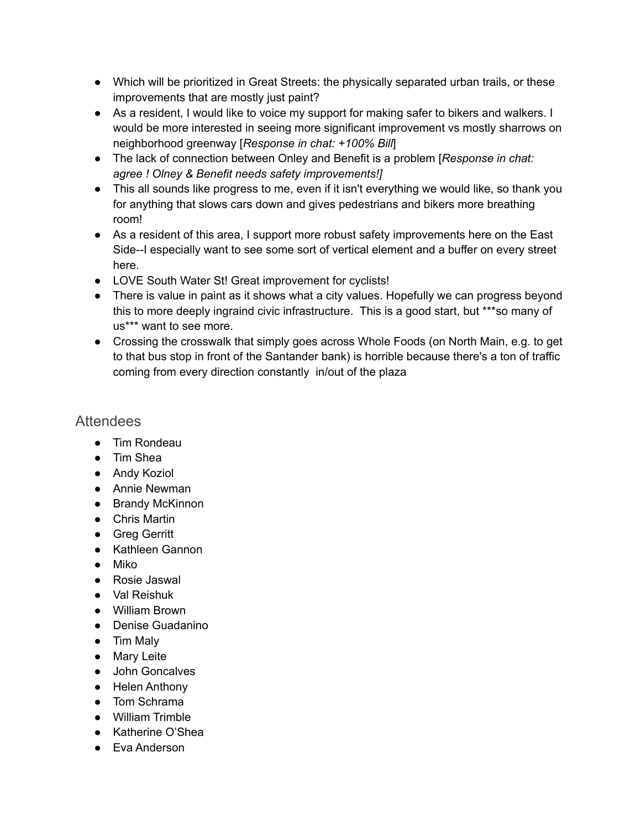- Which will be prioritized in Great Streets: the physically separated urban trails, or these improvements that are mostly just paint?
- As a resident, I would like to voice my support for making safer to bikers and walkers. I would be more interested in seeing more significant improvement vs mostly sharrows on neighborhood greenway [*Response in chat: +100% Bill*]
- The lack of connection between Onley and Benefit is a problem [*Response in chat: agree ! Olney & Benefit needs safety improvements!]*
- This all sounds like progress to me, even if it isn't everything we would like, so thank you for anything that slows cars down and gives pedestrians and bikers more breathing room!
- As a resident of this area, I support more robust safety improvements here on the East Side--I especially want to see some sort of vertical element and a buffer on every street here.
- LOVE South Water St! Great improvement for cyclists!
- There is value in paint as it shows what a city values. Hopefully we can progress beyond this to more deeply ingraind civic infrastructure. This is a good start, but \*\*\*so many of us\*\*\* want to see more.
- Crossing the crosswalk that simply goes across Whole Foods (on North Main, e.g. to get to that bus stop in front of the Santander bank) is horrible because there's a ton of traffic coming from every direction constantly in/out of the plaza

#### **Attendees**

- Tim Rondeau
- Tim Shea
- Andy Koziol
- Annie Newman
- Brandy McKinnon
- Chris Martin
- Greg Gerritt
- Kathleen Gannon
- Miko
- Rosie Jaswal
- Val Reishuk
- William Brown
- Denise Guadanino
- Tim Maly
- Mary Leite
- John Goncalves
- Helen Anthony
- Tom Schrama
- William Trimble
- Katherine O'Shea
- Eva Anderson